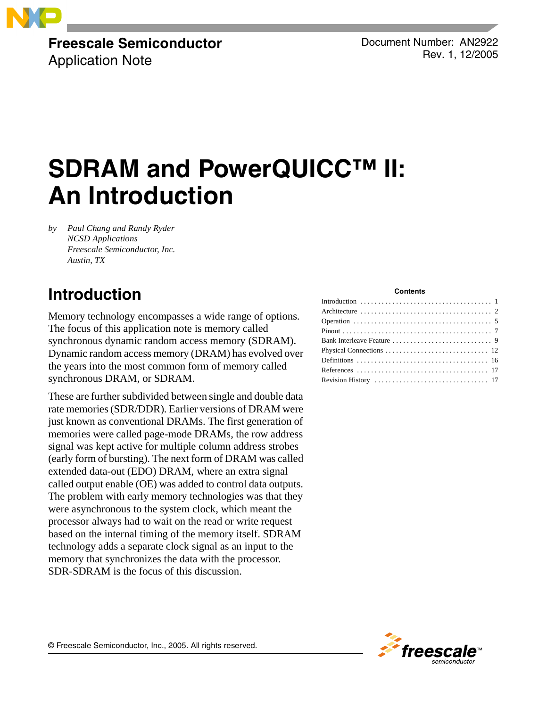

### **Freescale Semiconductor** Application Note

Document Number: AN2922 Rev. 1, 12/2005

# **SDRAM and PowerQUICC™ II: An Introduction**

*by Paul Chang and Randy Ryder NCSD Applications Freescale Semiconductor, Inc. Austin, TX*

# <span id="page-0-0"></span>**Introduction**

Memory technology encompasses a wide range of options. The focus of this application note is memory called synchronous dynamic random access memory (SDRAM). Dynamic random access memory (DRAM) has evolved over the years into the most common form of memory called synchronous DRAM, or SDRAM.

These are further subdivided between single and double data rate memories (SDR/DDR). Earlier versions of DRAM were just known as conventional DRAMs. The first generation of memories were called page-mode DRAMs, the row address signal was kept active for multiple column address strobes (early form of bursting). The next form of DRAM was called extended data-out (EDO) DRAM, where an extra signal called output enable (OE) was added to control data outputs. The problem with early memory technologies was that they were asynchronous to the system clock, which meant the processor always had to wait on the read or write request based on the internal timing of the memory itself. SDRAM technology adds a separate clock signal as an input to the memory that synchronizes the data with the processor. SDR-SDRAM is the focus of this discussion.

#### **Contents**



© Freescale Semiconductor, Inc., 2005. All rights reserved.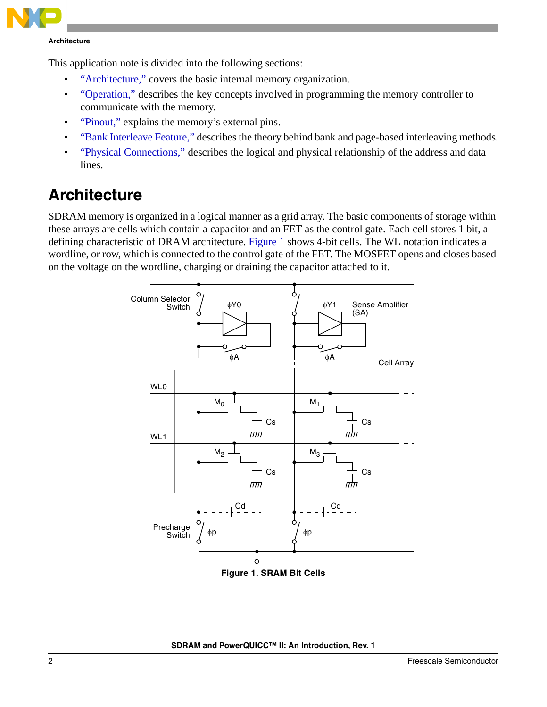

This application note is divided into the following sections:

- ["Architecture](#page-1-0)," covers the basic internal memory organization.
- ["Operation](#page-4-0)," describes the key concepts involved in programming the memory controller to communicate with the memory.
- ["Pinout,](#page-6-0)" explains the memory's external pins.
- ["Bank Interleave Feature,](#page-8-0)" describes the theory behind bank and page-based interleaving methods.
- ["Physical Connections,](#page-11-0)" describes the logical and physical relationship of the address and data lines.

# <span id="page-1-0"></span>**Architecture**

SDRAM memory is organized in a logical manner as a grid array. The basic components of storage within these arrays are cells which contain a capacitor and an FET as the control gate. Each cell stores 1 bit, a defining characteristic of DRAM architecture. [Figure 1](#page-1-1) shows 4-bit cells. The WL notation indicates a wordline, or row, which is connected to the control gate of the FET. The MOSFET opens and closes based on the voltage on the wordline, charging or draining the capacitor attached to it.



<span id="page-1-1"></span>**SDRAM and PowerQUICC™ II: An Introduction, Rev. 1**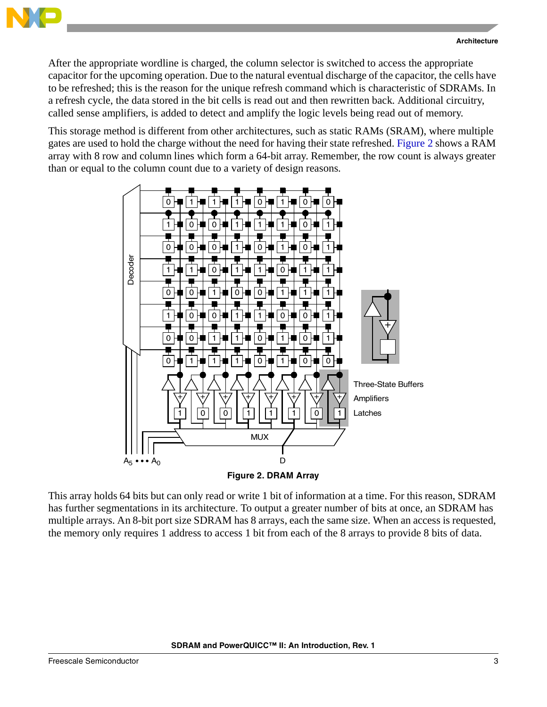

After the appropriate wordline is charged, the column selector is switched to access the appropriate capacitor for the upcoming operation. Due to the natural eventual discharge of the capacitor, the cells have to be refreshed; this is the reason for the unique refresh command which is characteristic of SDRAMs. In a refresh cycle, the data stored in the bit cells is read out and then rewritten back. Additional circuitry, called sense amplifiers, is added to detect and amplify the logic levels being read out of memory.

This storage method is different from other architectures, such as static RAMs (SRAM), where multiple gates are used to hold the charge without the need for having their state refreshed. [Figure 2](#page-2-0) shows a RAM array with 8 row and column lines which form a 64-bit array. Remember, the row count is always greater than or equal to the column count due to a variety of design reasons.



**Figure 2. DRAM Array**

<span id="page-2-0"></span>This array holds 64 bits but can only read or write 1 bit of information at a time. For this reason, SDRAM has further segmentations in its architecture. To output a greater number of bits at once, an SDRAM has multiple arrays. An 8-bit port size SDRAM has 8 arrays, each the same size. When an access is requested, the memory only requires 1 address to access 1 bit from each of the 8 arrays to provide 8 bits of data.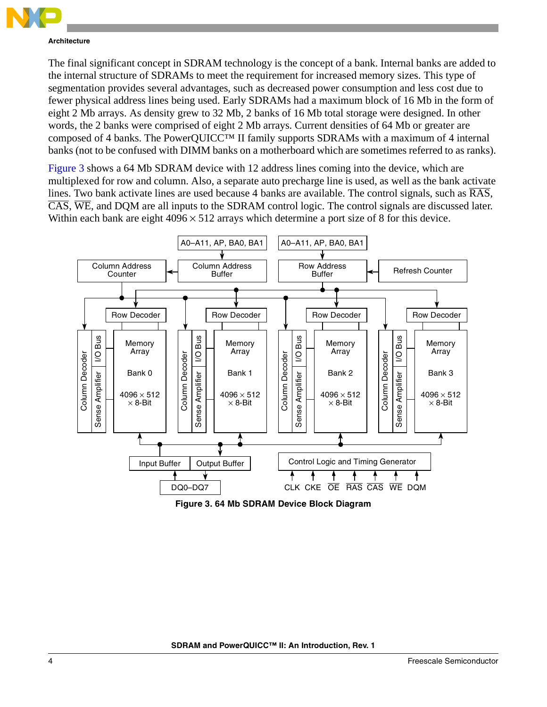

#### **Architecture**

The final significant concept in SDRAM technology is the concept of a bank. Internal banks are added to the internal structure of SDRAMs to meet the requirement for increased memory sizes. This type of segmentation provides several advantages, such as decreased power consumption and less cost due to fewer physical address lines being used. Early SDRAMs had a maximum block of 16 Mb in the form of eight 2 Mb arrays. As density grew to 32 Mb, 2 banks of 16 Mb total storage were designed. In other words, the 2 banks were comprised of eight 2 Mb arrays. Current densities of 64 Mb or greater are composed of 4 banks. The PowerQUICC<sup>™</sup> II family supports SDRAMs with a maximum of 4 internal banks (not to be confused with DIMM banks on a motherboard which are sometimes referred to as ranks).

[Figure 3](#page-3-0) shows a 64 Mb SDRAM device with 12 address lines coming into the device, which are multiplexed for row and column. Also, a separate auto precharge line is used, as well as the bank activate lines. Two bank activate lines are used because 4 banks are available. The control signals, such as  $\overline{RAS}$ ,  $\overline{CAS}, \overline{WE}$ , and DQM are all inputs to the SDRAM control logic. The control signals are discussed later. Within each bank are eight  $4096 \times 512$  arrays which determine a port size of 8 for this device.



<span id="page-3-0"></span>**Figure 3. 64 Mb SDRAM Device Block Diagram**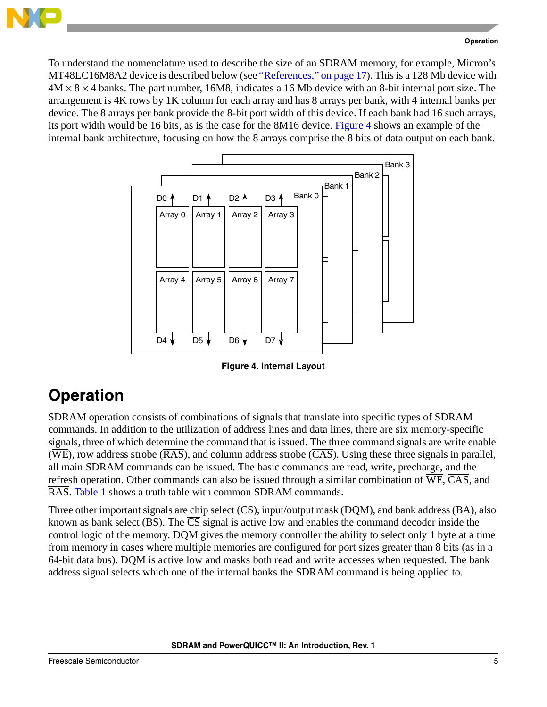

To understand the nomenclature used to describe the size of an SDRAM memory, for example, Micron's MT48LC16M8A2 device is described below (see ["References," on page 17](#page-16-0)). This is a 128 Mb device with  $4M \times 8 \times 4$  banks. The part number, 16M8, indicates a 16 Mb device with an 8-bit internal port size. The arrangement is 4K rows by 1K column for each array and has 8 arrays per bank, with 4 internal banks per device. The 8 arrays per bank provide the 8-bit port width of this device. If each bank had 16 such arrays, its port width would be 16 bits, as is the case for the 8M16 device. [Figure 4](#page-4-1) shows an example of the internal bank architecture, focusing on how the 8 arrays comprise the 8 bits of data output on each bank.



**Figure 4. Internal Layout**

# <span id="page-4-1"></span><span id="page-4-0"></span>**Operation**

SDRAM operation consists of combinations of signals that translate into specific types of SDRAM commands. In addition to the utilization of address lines and data lines, there are six memory-specific signals, three of which determine the command that is issued. The three command signals are write enable (WE), row address strobe (RAS), and column address strobe (CAS). Using these three signals in parallel, all main SDRAM commands can be issued. The basic commands are read, write, precharge, and the refresh operation. Other commands can also be issued through a similar combination of WE, CAS, and RAS. [Table 1](#page-5-0) shows a truth table with common SDRAM commands.

Three other important signals are chip select  $(\overline{CS})$ , input/output mask (DQM), and bank address (BA), also known as bank select (BS). The  $\overline{CS}$  signal is active low and enables the command decoder inside the control logic of the memory. DQM gives the memory controller the ability to select only 1 byte at a time from memory in cases where multiple memories are configured for port sizes greater than 8 bits (as in a 64-bit data bus). DQM is active low and masks both read and write accesses when requested. The bank address signal selects which one of the internal banks the SDRAM command is being applied to.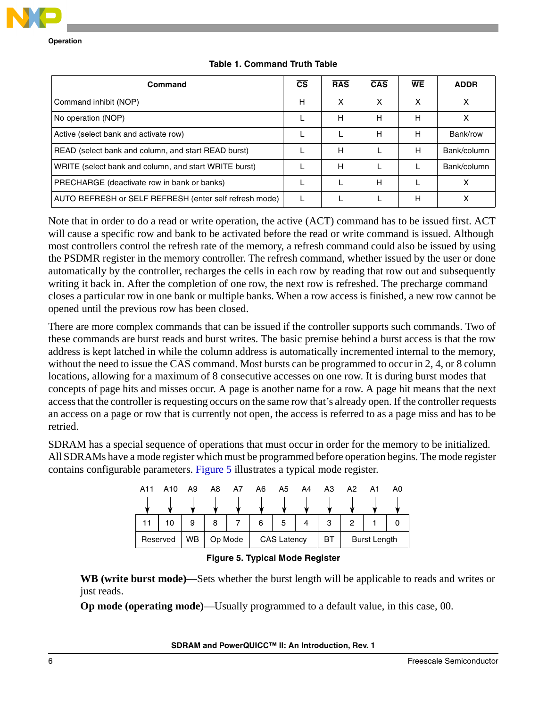

<span id="page-5-0"></span>

| Command                                                | <b>CS</b> | <b>RAS</b> | <b>CAS</b> | <b>WE</b> | <b>ADDR</b>  |
|--------------------------------------------------------|-----------|------------|------------|-----------|--------------|
| Command inhibit (NOP)                                  | н         | х          | x          | X         | X            |
| No operation (NOP)                                     |           | н          | н          | н         | $\mathsf{x}$ |
| Active (select bank and activate row)                  |           |            | н          | Н         | Bank/row     |
| READ (select bank and column, and start READ burst)    |           | н          |            | н         | Bank/column  |
| WRITE (select bank and column, and start WRITE burst)  |           | н          |            |           | Bank/column  |
| PRECHARGE (deactivate row in bank or banks)            |           |            | н          |           | х            |
| AUTO REFRESH or SELF REFRESH (enter self refresh mode) |           |            |            | н         | х            |

#### **Table 1. Command Truth Table**

Note that in order to do a read or write operation, the active (ACT) command has to be issued first. ACT will cause a specific row and bank to be activated before the read or write command is issued. Although most controllers control the refresh rate of the memory, a refresh command could also be issued by using the PSDMR register in the memory controller. The refresh command, whether issued by the user or done automatically by the controller, recharges the cells in each row by reading that row out and subsequently writing it back in. After the completion of one row, the next row is refreshed. The precharge command closes a particular row in one bank or multiple banks. When a row access is finished, a new row cannot be opened until the previous row has been closed.

There are more complex commands that can be issued if the controller supports such commands. Two of these commands are burst reads and burst writes. The basic premise behind a burst access is that the row address is kept latched in while the column address is automatically incremented internal to the memory, without the need to issue the  $\overline{CAS}$  command. Most bursts can be programmed to occur in 2, 4, or 8 column locations, allowing for a maximum of 8 consecutive accesses on one row. It is during burst modes that concepts of page hits and misses occur. A page is another name for a row. A page hit means that the next access that the controller is requesting occurs on the same row that's already open. If the controller requests an access on a page or row that is currently not open, the access is referred to as a page miss and has to be retried.

SDRAM has a special sequence of operations that must occur in order for the memory to be initialized. All SDRAMs have a mode register which must be programmed before operation begins. The mode register contains configurable parameters. [Figure 5](#page-5-1) illustrates a typical mode register.

| A11 | A10      | A9 | A8      | <b>A7</b> | A6 | A5                 | A4 | A3 | A2 | A1                  | A0 |
|-----|----------|----|---------|-----------|----|--------------------|----|----|----|---------------------|----|
|     |          |    |         |           |    |                    |    |    |    |                     |    |
|     | 10       | 9  | 8       |           | 6  | 5                  |    | ົ  |    |                     |    |
|     | Reserved | WB | Op Mode |           |    | <b>CAS Latency</b> |    | BT |    | <b>Burst Length</b> |    |

#### **Figure 5. Typical Mode Register**

<span id="page-5-1"></span>**WB (write burst mode)**—Sets whether the burst length will be applicable to reads and writes or just reads.

**Op mode (operating mode)**—Usually programmed to a default value, in this case, 00.

**SDRAM and PowerQUICC™ II: An Introduction, Rev. 1**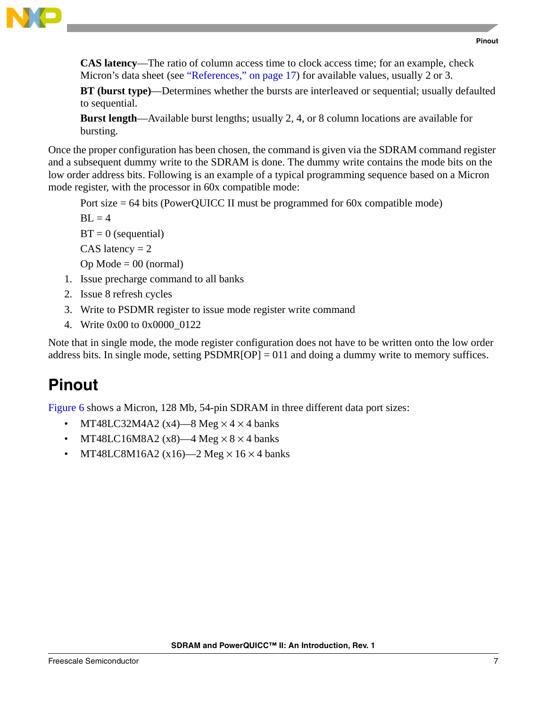

**CAS latency**—The ratio of column access time to clock access time; for an example, check Micron's data sheet (see ["References," on page 17\)](#page-16-0) for available values, usually 2 or 3.

**BT (burst type)**—Determines whether the bursts are interleaved or sequential; usually defaulted to sequential.

**Burst length**—Available burst lengths; usually 2, 4, or 8 column locations are available for bursting.

Once the proper configuration has been chosen, the command is given via the SDRAM command register and a subsequent dummy write to the SDRAM is done. The dummy write contains the mode bits on the low order address bits. Following is an example of a typical programming sequence based on a Micron mode register, with the processor in 60x compatible mode:

Port size = 64 bits (PowerQUICC II must be programmed for 60x compatible mode)

 $BL = 4$  $BT = 0$  (sequential) CAS latency  $= 2$  $Op$  Mode = 00 (normal)

- 1. Issue precharge command to all banks
- 2. Issue 8 refresh cycles
- 3. Write to PSDMR register to issue mode register write command
- 4. Write 0x00 to 0x0000\_0122

Note that in single mode, the mode register configuration does not have to be written onto the low order address bits. In single mode, setting  $PSDMR[OP] = 011$  and doing a dummy write to memory suffices.

# <span id="page-6-0"></span>**Pinout**

[Figure 6](#page-7-0) shows a Micron, 128 Mb, 54-pin SDRAM in three different data port sizes:

- MT48LC32M4A2 (x4)—8 Meg  $\times$  4  $\times$  4 banks
- MT48LC16M8A2 (x8)—4 Meg  $\times$  8  $\times$  4 banks
- MT48LC8M16A2 (x16)—2 Meg  $\times$  16  $\times$  4 banks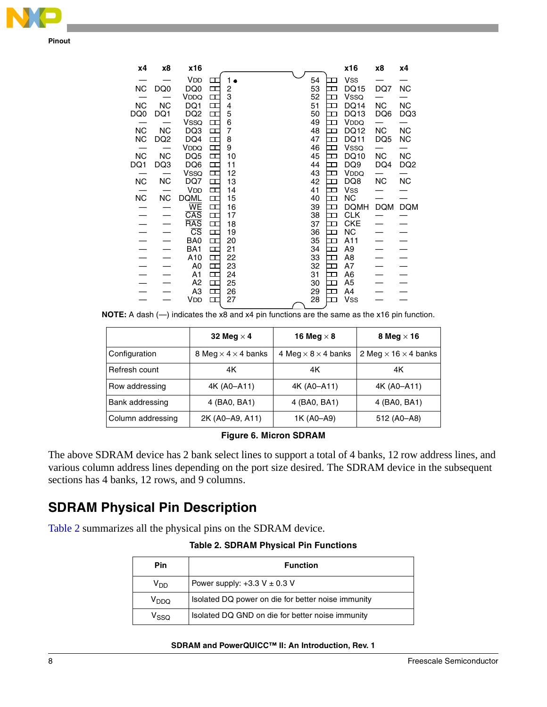

**Pinout**

| x4                   | x8                       | x16                    |                  |          |  |          |              | x16         | x8         | х4              |
|----------------------|--------------------------|------------------------|------------------|----------|--|----------|--------------|-------------|------------|-----------------|
|                      |                          | <b>V<sub>DD</sub></b>  |                  |          |  | 54       |              | Vss         |            |                 |
| <b>NC</b>            | DQ0                      | DQ0                    | $\top$           | 2        |  | 53       | H            | DQ15        | DQ7        | <b>NC</b>       |
|                      |                          | <b>VDDQ</b>            |                  | 3        |  | 52       | Т            | Vssq        |            |                 |
| <b>NC</b>            | <b>NC</b>                | DQ1                    | $\blacksquare$   | 4        |  | 51       | T            | DQ14        | <b>NC</b>  | <b>NC</b>       |
| DQ0                  | DQ1                      | DQ <sub>2</sub>        | $\blacksquare$   | 5        |  | 50       | H            | DQ13        | DQ6        | DQ3             |
|                      |                          | Vsso                   | $\Box$           | 6        |  | 49       | H            | <b>VDDQ</b> | —          | —               |
| NC                   | <b>NC</b>                | DQ3                    | $\Box$           | 7        |  | 48       | T            | DQ12        | <b>NC</b>  | <b>NC</b>       |
| ${\sf NC}$           | DQ <sub>2</sub>          | DQ4                    | $\blacksquare$   | 8        |  | 47       | Ē            | DQ11        | DQ5        | <b>NC</b>       |
| $\frac{1}{\sqrt{2}}$ |                          | <b>VDDQ</b>            | $\Box$           | 9        |  | 46       | T            | Vssq        | $\pm$      |                 |
| <b>NC</b>            | <b>NC</b>                | DQ <sub>5</sub>        | $\Box$           | 10       |  | 45       | H            | DQ10        | <b>NC</b>  | <b>NC</b>       |
| DQ1                  | DQ3                      | DQ6                    | $\blacksquare$   | 11       |  | 44       | I,           | DQ9         | DQ4        | DQ <sub>2</sub> |
|                      |                          | Vssq                   | 匸                | 12       |  | 43       | H            | VDDQ        | —          |                 |
| NC                   | NC                       | DQ7                    | $\Box$           | 13       |  | 42       | ┯            | DQ8         | <b>NC</b>  | <b>NC</b>       |
|                      | $\overline{\phantom{0}}$ | <b>VDD</b>             | 匸                | 14       |  | 41       | $\mathbf{L}$ | <b>Vss</b>  |            |                 |
| ${\sf NC}$           | NC                       | <b>DQML</b>            | $\Box$           | 15       |  | 40       | H            | ΝC          |            |                 |
|                      |                          | WE                     | $\Box$           | 16       |  | 39       | Ē            | <b>DQMH</b> | <b>DQM</b> | <b>DQM</b>      |
|                      |                          | CAS                    | $\Box$           | 17       |  | 38       | F            | <b>CLK</b>  |            |                 |
|                      |                          | <b>RAS</b>             | $\Box$           | 18       |  | 37       | h            | <b>CKE</b>  |            |                 |
|                      |                          | $\overline{\text{CS}}$ | 日                | 19       |  | 36       | Ē            | <b>NC</b>   |            |                 |
|                      |                          | BA0                    | $\Box$           | 20       |  | 35       | ۳            | A11         |            |                 |
|                      |                          | BA1                    | $\Box$           | 21       |  | 34       | H            | A9          |            |                 |
|                      |                          | A10                    | $\Box$           | 22       |  | 33       | H            | A8          |            |                 |
|                      |                          | A <sub>0</sub>         | $\Box$<br>$\Box$ | 23<br>24 |  | 32<br>31 | H<br>H       | A7<br>A6    |            |                 |
|                      |                          | A1<br>A2               | $\Box$           | 25       |  | 30       | T            | A5          |            |                 |
|                      |                          | A3                     | П                | 26       |  | 29       | ┯            | A4          |            |                 |
|                      |                          | Vdd                    |                  | 27       |  | 28       | H            | Vss         |            |                 |
|                      |                          |                        |                  |          |  |          |              |             |            |                 |

**NOTE:** A dash (—) indicates the x8 and x4 pin functions are the same as the x16 pin function.

|                   | 32 Meg $\times$ 4                 | 16 Meg $\times$ 8                 | 8 Meg $\times$ 16                  |
|-------------------|-----------------------------------|-----------------------------------|------------------------------------|
| Configuration     | 8 Meg $\times$ 4 $\times$ 4 banks | 4 Meg $\times$ 8 $\times$ 4 banks | 2 Meg $\times$ 16 $\times$ 4 banks |
| Refresh count     | 4K                                | 4K                                | 4K                                 |
| Row addressing    | 4K (A0-A11)                       | 4K (A0-A11)                       | 4K (A0-A11)                        |
| Bank addressing   | 4 (BA0, BA1)                      | 4 (BA0, BA1)                      | 4 (BA0, BA1)                       |
| Column addressing | 2K (A0-A9, A11)                   | 1K (A0-A9)                        | 512 (A0-A8)                        |

#### **Figure 6. Micron SDRAM**

<span id="page-7-0"></span>The above SDRAM device has 2 bank select lines to support a total of 4 banks, 12 row address lines, and various column address lines depending on the port size desired. The SDRAM device in the subsequent sections has 4 banks, 12 rows, and 9 columns.

### **SDRAM Physical Pin Description**

<span id="page-7-1"></span>[Table 2](#page-7-1) summarizes all the physical pins on the SDRAM device.

|  |  |  |  | <b>Table 2. SDRAM Physical Pin Functions</b> |
|--|--|--|--|----------------------------------------------|
|--|--|--|--|----------------------------------------------|

| <b>Pin</b>       | <b>Function</b>                                    |
|------------------|----------------------------------------------------|
| V <sub>DD</sub>  | Power supply: $+3.3$ V $\pm$ 0.3 V                 |
| V <sub>DDQ</sub> | Isolated DQ power on die for better noise immunity |
| V <sub>SSQ</sub> | Isolated DQ GND on die for better noise immunity   |

#### **SDRAM and PowerQUICC™ II: An Introduction, Rev. 1**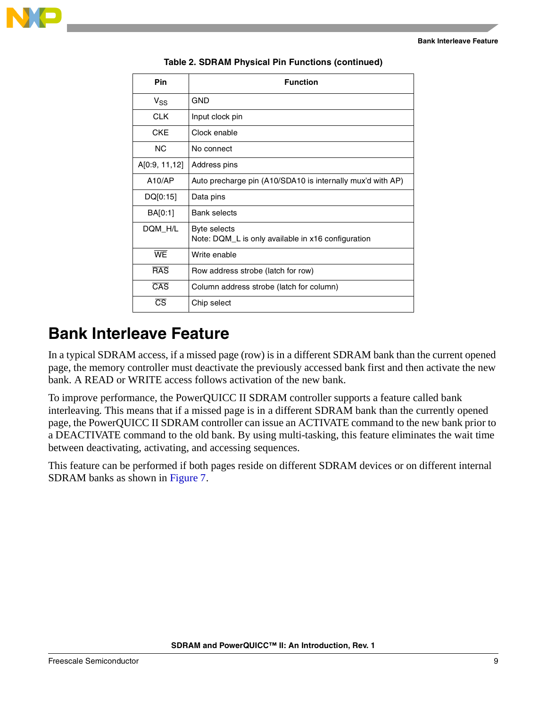

| Pin                    | <b>Function</b>                                                    |
|------------------------|--------------------------------------------------------------------|
| $V_{SS}$               | <b>GND</b>                                                         |
| <b>CLK</b>             | Input clock pin                                                    |
| <b>CKE</b>             | Clock enable                                                       |
| NC.                    | No connect                                                         |
| A[0:9, 11,12]          | Address pins                                                       |
| A10/AP                 | Auto precharge pin (A10/SDA10 is internally mux'd with AP)         |
| DQ[0:15]               | Data pins                                                          |
| BA[0:1]                | <b>Bank selects</b>                                                |
| DQM_H/L                | Byte selects<br>Note: DQM L is only available in x16 configuration |
| <b>WF</b>              | Write enable                                                       |
| <b>RAS</b>             | Row address strobe (latch for row)                                 |
| CAS                    | Column address strobe (latch for column)                           |
| $\overline{\text{CS}}$ | Chip select                                                        |

**Table 2. SDRAM Physical Pin Functions (continued)**

# <span id="page-8-0"></span>**Bank Interleave Feature**

In a typical SDRAM access, if a missed page (row) is in a different SDRAM bank than the current opened page, the memory controller must deactivate the previously accessed bank first and then activate the new bank. A READ or WRITE access follows activation of the new bank.

To improve performance, the PowerQUICC II SDRAM controller supports a feature called bank interleaving. This means that if a missed page is in a different SDRAM bank than the currently opened page, the PowerQUICC II SDRAM controller can issue an ACTIVATE command to the new bank prior to a DEACTIVATE command to the old bank. By using multi-tasking, this feature eliminates the wait time between deactivating, activating, and accessing sequences.

This feature can be performed if both pages reside on different SDRAM devices or on different internal SDRAM banks as shown in [Figure 7.](#page-9-0)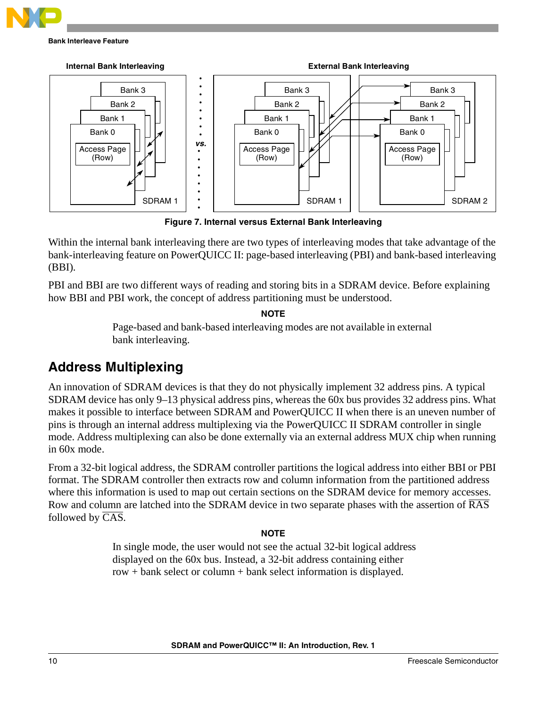

**Bank Interleave Feature**



**Figure 7. Internal versus External Bank Interleaving**

<span id="page-9-0"></span>Within the internal bank interleaving there are two types of interleaving modes that take advantage of the bank-interleaving feature on PowerQUICC II: page-based interleaving (PBI) and bank-based interleaving (BBI).

PBI and BBI are two different ways of reading and storing bits in a SDRAM device. Before explaining how BBI and PBI work, the concept of address partitioning must be understood.

#### **NOTE**

Page-based and bank-based interleaving modes are not available in external bank interleaving.

### **Address Multiplexing**

An innovation of SDRAM devices is that they do not physically implement 32 address pins. A typical SDRAM device has only 9–13 physical address pins, whereas the 60x bus provides 32 address pins. What makes it possible to interface between SDRAM and PowerQUICC II when there is an uneven number of pins is through an internal address multiplexing via the PowerQUICC II SDRAM controller in single mode. Address multiplexing can also be done externally via an external address MUX chip when running in 60x mode.

From a 32-bit logical address, the SDRAM controller partitions the logical address into either BBI or PBI format. The SDRAM controller then extracts row and column information from the partitioned address where this information is used to map out certain sections on the SDRAM device for memory accesses. Row and column are latched into the SDRAM device in two separate phases with the assertion of RAS followed by  $\overline{CAS}$ .

#### **NOTE**

In single mode, the user would not see the actual 32-bit logical address displayed on the 60x bus. Instead, a 32-bit address containing either row + bank select or column + bank select information is displayed.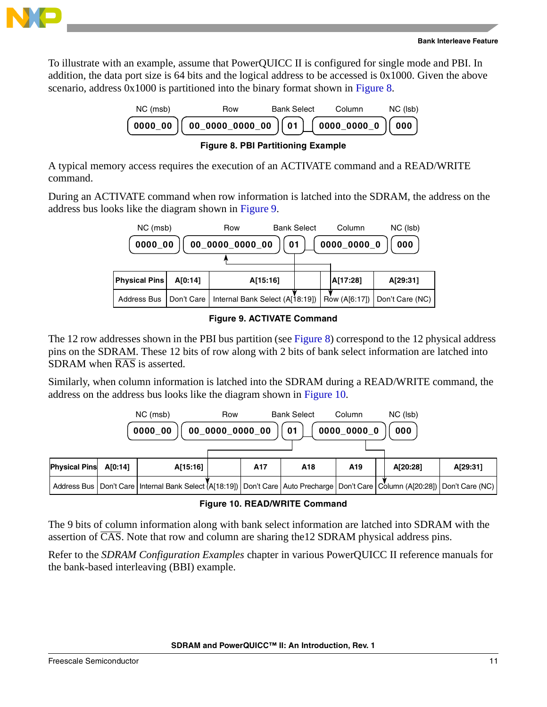

To illustrate with an example, assume that PowerQUICC II is configured for single mode and PBI. In addition, the data port size is 64 bits and the logical address to be accessed is 0x1000. Given the above scenario, address 0x1000 is partitioned into the binary format shown in [Figure 8.](#page-10-0)



**Figure 8. PBI Partitioning Example**

<span id="page-10-0"></span>A typical memory access requires the execution of an ACTIVATE command and a READ/WRITE command.

During an ACTIVATE command when row information is latched into the SDRAM, the address on the address bus looks like the diagram shown in [Figure 9.](#page-10-1)



#### **Figure 9. ACTIVATE Command**

<span id="page-10-1"></span>The 12 row addresses shown in the PBI bus partition (see [Figure 8\)](#page-10-0) correspond to the 12 physical address pins on the SDRAM. These 12 bits of row along with 2 bits of bank select information are latched into SDRAM when  $\overline{RAS}$  is asserted.

Similarly, when column information is latched into the SDRAM during a READ/WRITE command, the address on the address bus looks like the diagram shown in [Figure 10](#page-10-2).



#### **Figure 10. READ/WRITE Command**

<span id="page-10-2"></span>The 9 bits of column information along with bank select information are latched into SDRAM with the assertion of CAS. Note that row and column are sharing the12 SDRAM physical address pins.

Refer to the *SDRAM Configuration Examples* chapter in various PowerQUICC II reference manuals for the bank-based interleaving (BBI) example.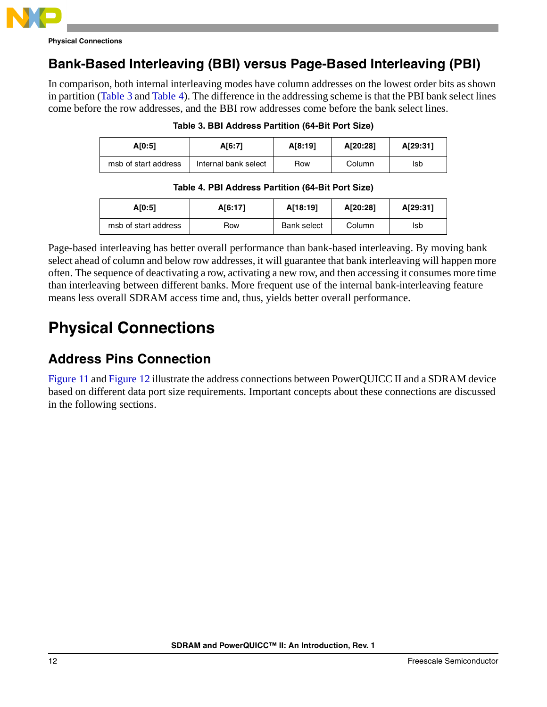

**Physical Connections**

### **Bank-Based Interleaving (BBI) versus Page-Based Interleaving (PBI)**

<span id="page-11-2"></span>In comparison, both internal interleaving modes have column addresses on the lowest order bits as shown in partition ([Table 3](#page-11-2) and [Table 4\)](#page-11-1). The difference in the addressing scheme is that the PBI bank select lines come before the row addresses, and the BBI row addresses come before the bank select lines.

**Table 3. BBI Address Partition (64-Bit Port Size)**

| A[0:5]                                       | A[6:7] | A[8:19] | A[20:28] | A[29:31] |
|----------------------------------------------|--------|---------|----------|----------|
| msb of start address<br>Internal bank select |        | Row     | Column   | lsb      |

#### **Table 4. PBI Address Partition (64-Bit Port Size)**

<span id="page-11-1"></span>

| A[0:5]               | A[6:17] | A[18:19]           | A[20:28] | A[29:31] |
|----------------------|---------|--------------------|----------|----------|
| msb of start address | Row     | <b>Bank select</b> | Column   | lsb      |

Page-based interleaving has better overall performance than bank-based interleaving. By moving bank select ahead of column and below row addresses, it will guarantee that bank interleaving will happen more often. The sequence of deactivating a row, activating a new row, and then accessing it consumes more time than interleaving between different banks. More frequent use of the internal bank-interleaving feature means less overall SDRAM access time and, thus, yields better overall performance.

# <span id="page-11-0"></span>**Physical Connections**

### **Address Pins Connection**

[Figure 11](#page-12-0) and [Figure 12](#page-12-1) illustrate the address connections between PowerQUICC II and a SDRAM device based on different data port size requirements. Important concepts about these connections are discussed in the following sections.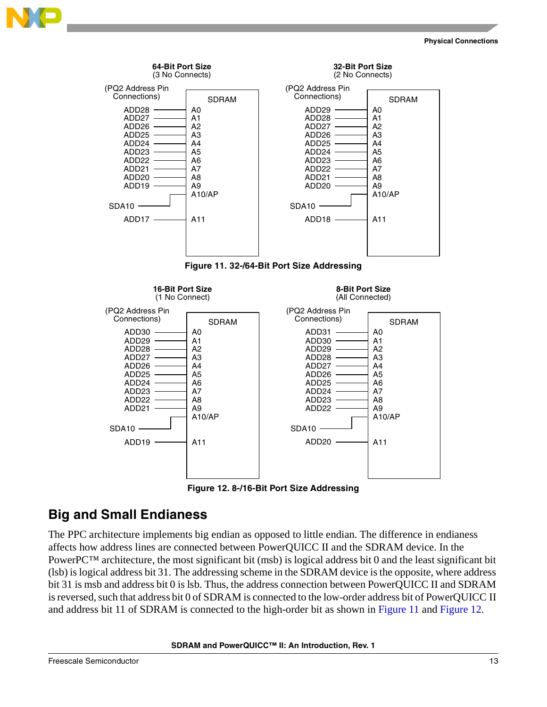<span id="page-12-0"></span>

**Figure 12. 8-/16-Bit Port Size Addressing**

### <span id="page-12-1"></span>**Big and Small Endianess**

The PPC architecture implements big endian as opposed to little endian. The difference in endianess affects how address lines are connected between PowerQUICC II and the SDRAM device. In the PowerPC™ architecture, the most significant bit (msb) is logical address bit 0 and the least significant bit (lsb) is logical address bit 31. The addressing scheme in the SDRAM device is the opposite, where address bit 31 is msb and address bit 0 is lsb. Thus, the address connection between PowerQUICC II and SDRAM is reversed, such that address bit 0 of SDRAM is connected to the low-order address bit of PowerQUICC II and address bit 11 of SDRAM is connected to the high-order bit as shown in [Figure 11](#page-12-0) and [Figure 12](#page-12-1).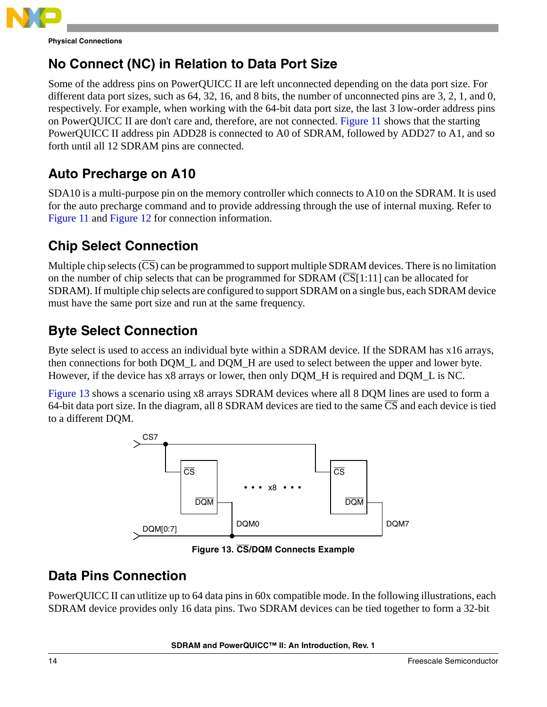

**Physical Connections**

# **No Connect (NC) in Relation to Data Port Size**

Some of the address pins on PowerQUICC II are left unconnected depending on the data port size. For different data port sizes, such as 64, 32, 16, and 8 bits, the number of unconnected pins are 3, 2, 1, and 0, respectively. For example, when working with the 64-bit data port size, the last 3 low-order address pins on PowerQUICC II are don't care and, therefore, are not connected. [Figure 11](#page-12-0) shows that the starting PowerQUICC II address pin ADD28 is connected to A0 of SDRAM, followed by ADD27 to A1, and so forth until all 12 SDRAM pins are connected.

### **Auto Precharge on A10**

SDA10 is a multi-purpose pin on the memory controller which connects to A10 on the SDRAM. It is used for the auto precharge command and to provide addressing through the use of internal muxing. Refer to [Figure 11](#page-12-0) and [Figure 12](#page-12-1) for connection information.

# **Chip Select Connection**

Multiple chip selects (CS) can be programmed to support multiple SDRAM devices. There is no limitation on the number of chip selects that can be programmed for SDRAM  $(\overline{CS}[1:11]$  can be allocated for SDRAM). If multiple chip selects are configured to support SDRAM on a single bus, each SDRAM device must have the same port size and run at the same frequency.

# **Byte Select Connection**

Byte select is used to access an individual byte within a SDRAM device. If the SDRAM has x16 arrays, then connections for both DQM\_L and DQM\_H are used to select between the upper and lower byte. However, if the device has x8 arrays or lower, then only DQM\_H is required and DQM\_L is NC.

[Figure 13](#page-13-0) shows a scenario using x8 arrays SDRAM devices where all 8 DQM lines are used to form a 64-bit data port size. In the diagram, all 8 SDRAM devices are tied to the same CS and each device is tied to a different DQM.



**Figure 13. CS/DQM Connects Example**

### <span id="page-13-0"></span>**Data Pins Connection**

PowerQUICC II can utlitize up to 64 data pins in 60x compatible mode. In the following illustrations, each SDRAM device provides only 16 data pins. Two SDRAM devices can be tied together to form a 32-bit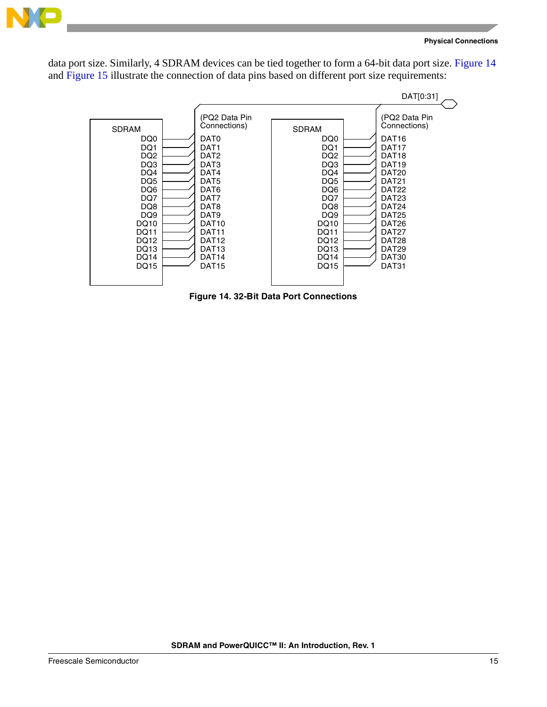

data port size. Similarly, 4 SDRAM devices can be tied together to form a 64-bit data port size. [Figure 14](#page-14-0) and [Figure 15](#page-15-1) illustrate the connection of data pins based on different port size requirements:



<span id="page-14-0"></span>**Figure 14. 32-Bit Data Port Connections**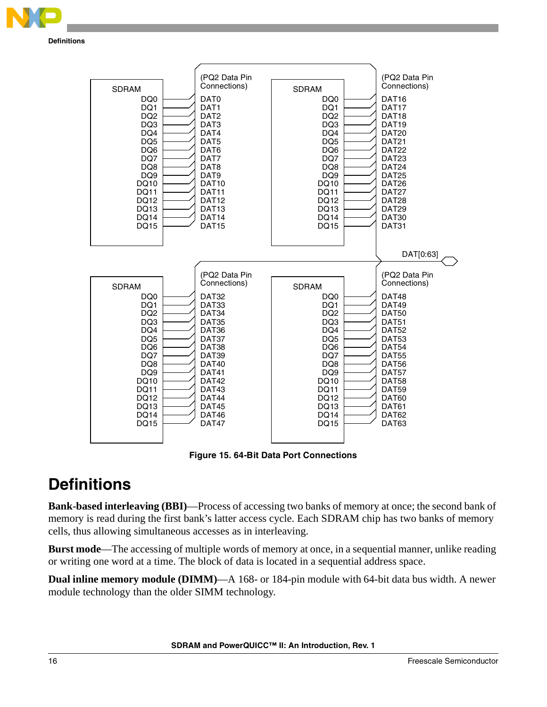



**Figure 15. 64-Bit Data Port Connections**

# <span id="page-15-1"></span><span id="page-15-0"></span>**Definitions**

**Bank-based interleaving (BBI)**—Process of accessing two banks of memory at once; the second bank of memory is read during the first bank's latter access cycle. Each SDRAM chip has two banks of memory cells, thus allowing simultaneous accesses as in interleaving.

**Burst mode**—The accessing of multiple words of memory at once, in a sequential manner, unlike reading or writing one word at a time. The block of data is located in a sequential address space.

**Dual inline memory module (DIMM)—A 168- or 184-pin module with 64-bit data bus width. A newer** module technology than the older SIMM technology.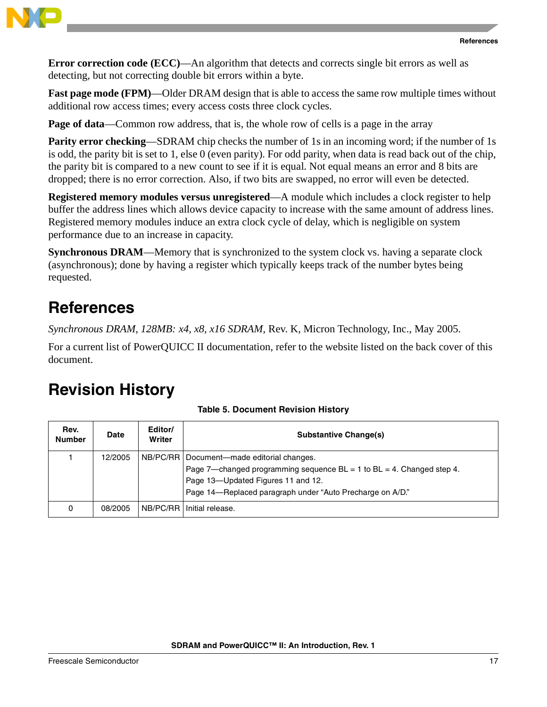



**Error correction code (ECC)**—An algorithm that detects and corrects single bit errors as well as detecting, but not correcting double bit errors within a byte.

**Fast page mode (FPM)**—Older DRAM design that is able to access the same row multiple times without additional row access times; every access costs three clock cycles.

**Page of data—Common row address, that is, the whole row of cells is a page in the array** 

**Parity error checking—SDRAM** chip checks the number of 1s in an incoming word; if the number of 1s is odd, the parity bit is set to 1, else 0 (even parity). For odd parity, when data is read back out of the chip, the parity bit is compared to a new count to see if it is equal. Not equal means an error and 8 bits are dropped; there is no error correction. Also, if two bits are swapped, no error will even be detected.

**Registered memory modules versus unregistered**—A module which includes a clock register to help buffer the address lines which allows device capacity to increase with the same amount of address lines. Registered memory modules induce an extra clock cycle of delay, which is negligible on system performance due to an increase in capacity.

**Synchronous DRAM—Memory that is synchronized to the system clock vs. having a separate clock** (asynchronous); done by having a register which typically keeps track of the number bytes being requested.

# <span id="page-16-0"></span>**References**

*Synchronous DRAM, 128MB: x4, x8, x16 SDRAM*, Rev. K, Micron Technology, Inc., May 2005.

For a current list of PowerQUICC II documentation, refer to the website listed on the back cover of this document.

# <span id="page-16-1"></span>**Revision History**

| Rev.<br><b>Number</b> | Date    | Editor/<br>Writer | <b>Substantive Change(s)</b>                                                                                                                                                                                            |
|-----------------------|---------|-------------------|-------------------------------------------------------------------------------------------------------------------------------------------------------------------------------------------------------------------------|
|                       | 12/2005 |                   | NB/PC/RR   Document—made editorial changes.<br>Page 7—changed programming sequence BL = 1 to BL = 4. Changed step 4.<br>Page 13-Updated Figures 11 and 12.<br>Page 14-Replaced paragraph under "Auto Precharge on A/D." |
| 0                     | 08/2005 |                   | NB/PC/RR   Initial release.                                                                                                                                                                                             |

#### **Table 5. Document Revision History**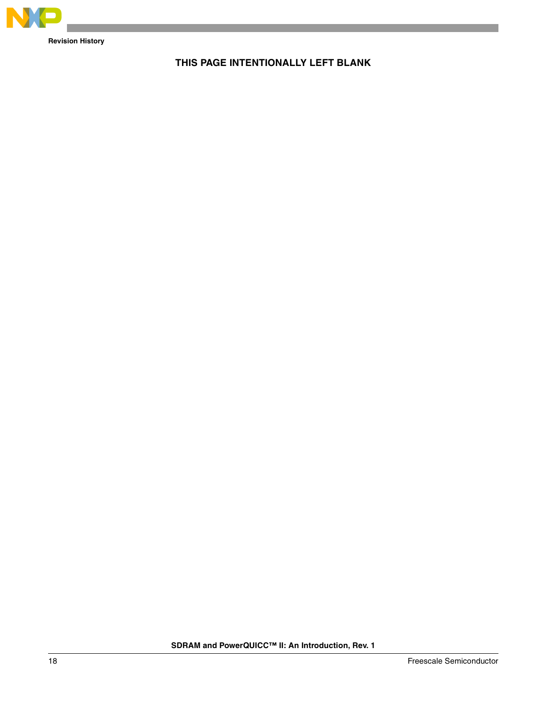

**Revision History**

#### **THIS PAGE INTENTIONALLY LEFT BLANK**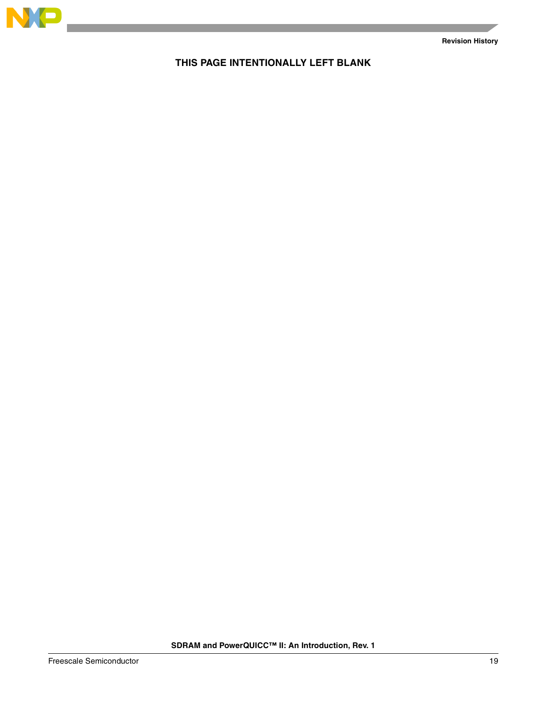

 $\overline{\phantom{a}}$ 

#### **THIS PAGE INTENTIONALLY LEFT BLANK**